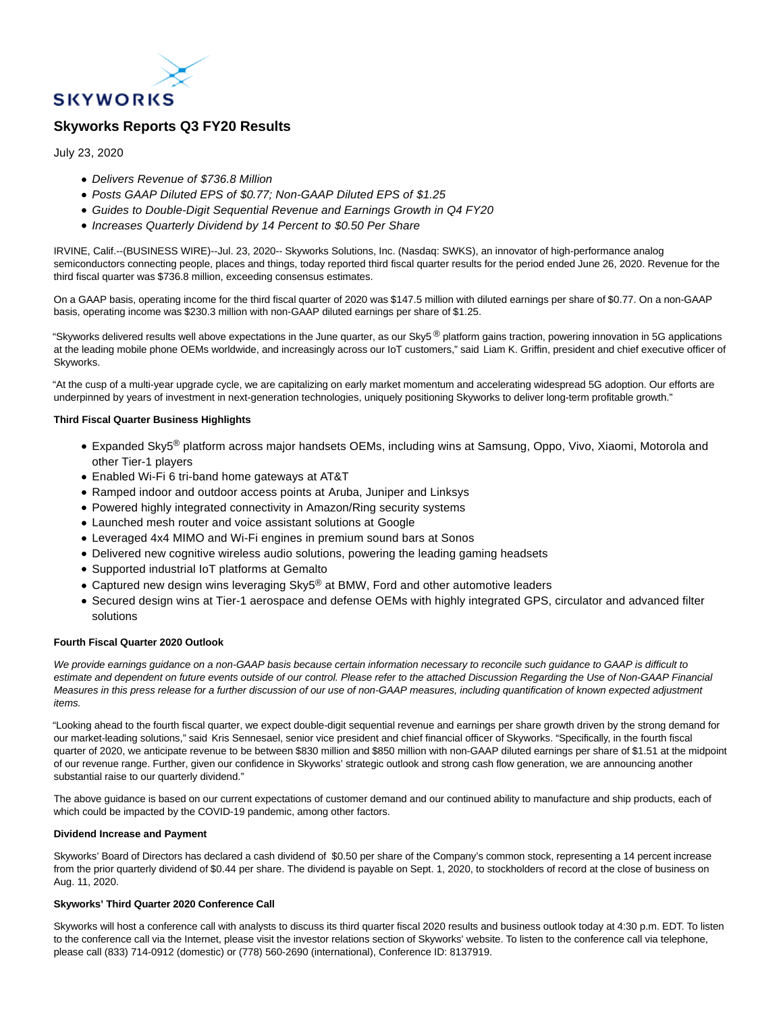

# **Skyworks Reports Q3 FY20 Results**

July 23, 2020

- Delivers Revenue of \$736.8 Million
- Posts GAAP Diluted EPS of \$0.77; Non-GAAP Diluted EPS of \$1.25
- Guides to Double-Digit Sequential Revenue and Earnings Growth in Q4 FY20
- Increases Quarterly Dividend by 14 Percent to \$0.50 Per Share

IRVINE, Calif.--(BUSINESS WIRE)--Jul. 23, 2020-- Skyworks Solutions, Inc. (Nasdaq: SWKS), an innovator of high-performance analog semiconductors connecting people, places and things, today reported third fiscal quarter results for the period ended June 26, 2020. Revenue for the third fiscal quarter was \$736.8 million, exceeding consensus estimates.

On a GAAP basis, operating income for the third fiscal quarter of 2020 was \$147.5 million with diluted earnings per share of \$0.77. On a non-GAAP basis, operating income was \$230.3 million with non-GAAP diluted earnings per share of \$1.25.

"Skyworks delivered results well above expectations in the June quarter, as our Sky5<sup>®</sup> platform gains traction, powering innovation in 5G applications at the leading mobile phone OEMs worldwide, and increasingly across our IoT customers," said Liam K. Griffin, president and chief executive officer of Skyworks.

"At the cusp of a multi-year upgrade cycle, we are capitalizing on early market momentum and accelerating widespread 5G adoption. Our efforts are underpinned by years of investment in next-generation technologies, uniquely positioning Skyworks to deliver long-term profitable growth."

# **Third Fiscal Quarter Business Highlights**

- Expanded Sky5® platform across major handsets OEMs, including wins at Samsung, Oppo, Vivo, Xiaomi, Motorola and other Tier-1 players
- Enabled Wi-Fi 6 tri-band home gateways at AT&T
- Ramped indoor and outdoor access points at Aruba, Juniper and Linksys
- Powered highly integrated connectivity in Amazon/Ring security systems
- Launched mesh router and voice assistant solutions at Google
- Leveraged 4x4 MIMO and Wi-Fi engines in premium sound bars at Sonos
- Delivered new cognitive wireless audio solutions, powering the leading gaming headsets
- Supported industrial IoT platforms at Gemalto
- Captured new design wins leveraging Sky5<sup>®</sup> at BMW, Ford and other automotive leaders
- Secured design wins at Tier-1 aerospace and defense OEMs with highly integrated GPS, circulator and advanced filter solutions

# **Fourth Fiscal Quarter 2020 Outlook**

We provide earnings guidance on a non-GAAP basis because certain information necessary to reconcile such guidance to GAAP is difficult to estimate and dependent on future events outside of our control. Please refer to the attached Discussion Regarding the Use of Non-GAAP Financial Measures in this press release for a further discussion of our use of non-GAAP measures, including quantification of known expected adjustment items.

"Looking ahead to the fourth fiscal quarter, we expect double-digit sequential revenue and earnings per share growth driven by the strong demand for our market-leading solutions," said Kris Sennesael, senior vice president and chief financial officer of Skyworks. "Specifically, in the fourth fiscal quarter of 2020, we anticipate revenue to be between \$830 million and \$850 million with non-GAAP diluted earnings per share of \$1.51 at the midpoint of our revenue range. Further, given our confidence in Skyworks' strategic outlook and strong cash flow generation, we are announcing another substantial raise to our quarterly dividend."

The above guidance is based on our current expectations of customer demand and our continued ability to manufacture and ship products, each of which could be impacted by the COVID-19 pandemic, among other factors.

### **Dividend Increase and Payment**

Skyworks' Board of Directors has declared a cash dividend of \$0.50 per share of the Company's common stock, representing a 14 percent increase from the prior quarterly dividend of \$0.44 per share. The dividend is payable on Sept. 1, 2020, to stockholders of record at the close of business on Aug. 11, 2020.

# **Skyworks' Third Quarter 2020 Conference Call**

Skyworks will host a conference call with analysts to discuss its third quarter fiscal 2020 results and business outlook today at 4:30 p.m. EDT. To listen to the conference call via the Internet, please visit the investor relations section of Skyworks' website. To listen to the conference call via telephone, please call (833) 714-0912 (domestic) or (778) 560-2690 (international), Conference ID: 8137919.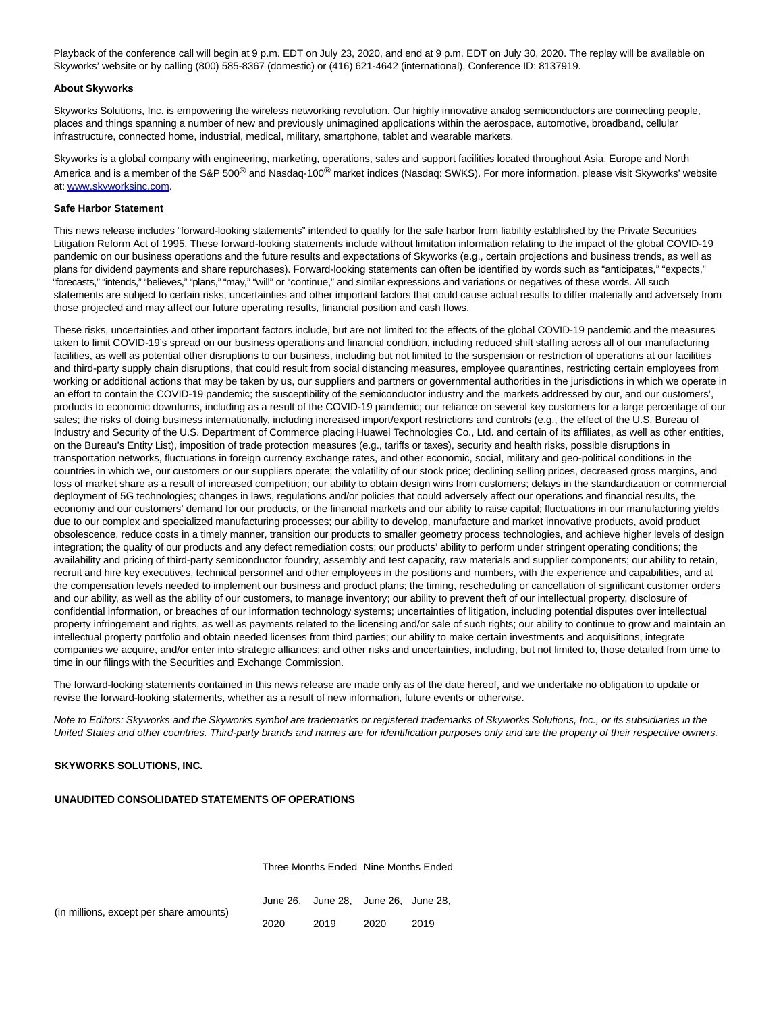Playback of the conference call will begin at 9 p.m. EDT on July 23, 2020, and end at 9 p.m. EDT on July 30, 2020. The replay will be available on Skyworks' website or by calling (800) 585-8367 (domestic) or (416) 621-4642 (international), Conference ID: 8137919.

### **About Skyworks**

Skyworks Solutions, Inc. is empowering the wireless networking revolution. Our highly innovative analog semiconductors are connecting people, places and things spanning a number of new and previously unimagined applications within the aerospace, automotive, broadband, cellular infrastructure, connected home, industrial, medical, military, smartphone, tablet and wearable markets.

Skyworks is a global company with engineering, marketing, operations, sales and support facilities located throughout Asia, Europe and North America and is a member of the S&P 500<sup>®</sup> and Nasdaq-100<sup>®</sup> market indices (Nasdaq: SWKS). For more information, please visit Skyworks' website at: [www.skyworksinc.com.](https://cts.businesswire.com/ct/CT?id=smartlink&url=http%3A%2F%2Fwww.skyworksinc.com&esheet=52254949&newsitemid=20200723005820&lan=en-US&anchor=www.skyworksinc.com&index=1&md5=07e1e9bfd8946d7d4735f2daf42d1d09)

### **Safe Harbor Statement**

This news release includes "forward-looking statements" intended to qualify for the safe harbor from liability established by the Private Securities Litigation Reform Act of 1995. These forward-looking statements include without limitation information relating to the impact of the global COVID-19 pandemic on our business operations and the future results and expectations of Skyworks (e.g., certain projections and business trends, as well as plans for dividend payments and share repurchases). Forward-looking statements can often be identified by words such as "anticipates," "expects," "forecasts," "intends," "believes," "plans," "may," "will" or "continue," and similar expressions and variations or negatives of these words. All such statements are subject to certain risks, uncertainties and other important factors that could cause actual results to differ materially and adversely from those projected and may affect our future operating results, financial position and cash flows.

These risks, uncertainties and other important factors include, but are not limited to: the effects of the global COVID-19 pandemic and the measures taken to limit COVID-19's spread on our business operations and financial condition, including reduced shift staffing across all of our manufacturing facilities, as well as potential other disruptions to our business, including but not limited to the suspension or restriction of operations at our facilities and third-party supply chain disruptions, that could result from social distancing measures, employee quarantines, restricting certain employees from working or additional actions that may be taken by us, our suppliers and partners or governmental authorities in the jurisdictions in which we operate in an effort to contain the COVID-19 pandemic; the susceptibility of the semiconductor industry and the markets addressed by our, and our customers', products to economic downturns, including as a result of the COVID-19 pandemic; our reliance on several key customers for a large percentage of our sales; the risks of doing business internationally, including increased import/export restrictions and controls (e.g., the effect of the U.S. Bureau of Industry and Security of the U.S. Department of Commerce placing Huawei Technologies Co., Ltd. and certain of its affiliates, as well as other entities, on the Bureau's Entity List), imposition of trade protection measures (e.g., tariffs or taxes), security and health risks, possible disruptions in transportation networks, fluctuations in foreign currency exchange rates, and other economic, social, military and geo-political conditions in the countries in which we, our customers or our suppliers operate; the volatility of our stock price; declining selling prices, decreased gross margins, and loss of market share as a result of increased competition; our ability to obtain design wins from customers; delays in the standardization or commercial deployment of 5G technologies; changes in laws, regulations and/or policies that could adversely affect our operations and financial results, the economy and our customers' demand for our products, or the financial markets and our ability to raise capital; fluctuations in our manufacturing yields due to our complex and specialized manufacturing processes; our ability to develop, manufacture and market innovative products, avoid product obsolescence, reduce costs in a timely manner, transition our products to smaller geometry process technologies, and achieve higher levels of design integration; the quality of our products and any defect remediation costs; our products' ability to perform under stringent operating conditions; the availability and pricing of third-party semiconductor foundry, assembly and test capacity, raw materials and supplier components; our ability to retain, recruit and hire key executives, technical personnel and other employees in the positions and numbers, with the experience and capabilities, and at the compensation levels needed to implement our business and product plans; the timing, rescheduling or cancellation of significant customer orders and our ability, as well as the ability of our customers, to manage inventory; our ability to prevent theft of our intellectual property, disclosure of confidential information, or breaches of our information technology systems; uncertainties of litigation, including potential disputes over intellectual property infringement and rights, as well as payments related to the licensing and/or sale of such rights; our ability to continue to grow and maintain an intellectual property portfolio and obtain needed licenses from third parties; our ability to make certain investments and acquisitions, integrate companies we acquire, and/or enter into strategic alliances; and other risks and uncertainties, including, but not limited to, those detailed from time to time in our filings with the Securities and Exchange Commission.

The forward-looking statements contained in this news release are made only as of the date hereof, and we undertake no obligation to update or revise the forward-looking statements, whether as a result of new information, future events or otherwise.

Note to Editors: Skyworks and the Skyworks symbol are trademarks or registered trademarks of Skyworks Solutions, Inc., or its subsidiaries in the United States and other countries. Third-party brands and names are for identification purposes only and are the property of their respective owners.

#### **SKYWORKS SOLUTIONS, INC.**

### **UNAUDITED CONSOLIDATED STATEMENTS OF OPERATIONS**

Three Months Ended Nine Months Ended

|                                         |      | June 26. June 28. June 26. June 28. |      |      |
|-----------------------------------------|------|-------------------------------------|------|------|
| (in millions, except per share amounts) |      |                                     |      |      |
|                                         | 2020 | 2019                                | 2020 | 2019 |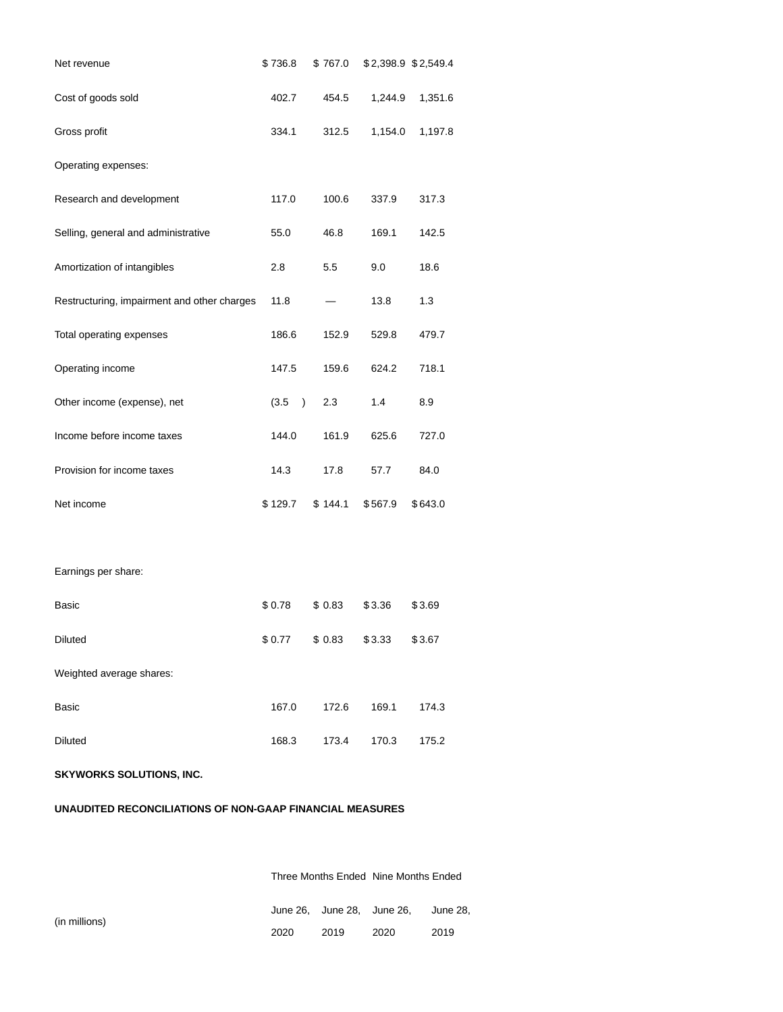| Net revenue                                 | \$736.8                | \$767.0 |         | \$2,398.9 \$2,549.4 |
|---------------------------------------------|------------------------|---------|---------|---------------------|
| Cost of goods sold                          | 402.7                  | 454.5   | 1,244.9 | 1,351.6             |
| Gross profit                                | 334.1                  | 312.5   | 1,154.0 | 1,197.8             |
| Operating expenses:                         |                        |         |         |                     |
| Research and development                    | 117.0                  | 100.6   | 337.9   | 317.3               |
| Selling, general and administrative         | 55.0                   | 46.8    | 169.1   | 142.5               |
| Amortization of intangibles                 | 2.8                    | 5.5     | 9.0     | 18.6                |
| Restructuring, impairment and other charges | 11.8                   |         | 13.8    | 1.3                 |
| Total operating expenses                    | 186.6                  | 152.9   | 529.8   | 479.7               |
| Operating income                            | 147.5                  | 159.6   | 624.2   | 718.1               |
| Other income (expense), net                 | (3.5)<br>$\rightarrow$ | 2.3     | 1.4     | 8.9                 |
| Income before income taxes                  | 144.0                  | 161.9   | 625.6   | 727.0               |
| Provision for income taxes                  | 14.3                   | 17.8    | 57.7    | 84.0                |
| Net income                                  | \$129.7                | \$144.1 | \$567.9 | \$643.0             |
|                                             |                        |         |         |                     |
| Earnings per share:                         |                        |         |         |                     |
| Basic                                       | \$0.78                 | \$0.83  | \$3.36  | \$3.69              |
| <b>Diluted</b>                              | \$0.77                 | \$0.83  | \$3.33  | \$3.67              |
| Weighted average shares:                    |                        |         |         |                     |
| <b>Basic</b>                                | 167.0                  | 172.6   | 169.1   | 174.3               |
| <b>Diluted</b>                              | 168.3                  | 173.4   | 170.3   | 175.2               |
| <b>SKYWORKS SOLUTIONS, INC.</b>             |                        |         |         |                     |

# **UNAUDITED RECONCILIATIONS OF NON-GAAP FINANCIAL MEASURES**

Three Months Ended Nine Months Ended

|      | June 26. June 28. June 26. |      | June 28. |
|------|----------------------------|------|----------|
| 2020 | 2019                       | 2020 | 2019     |

(in millions)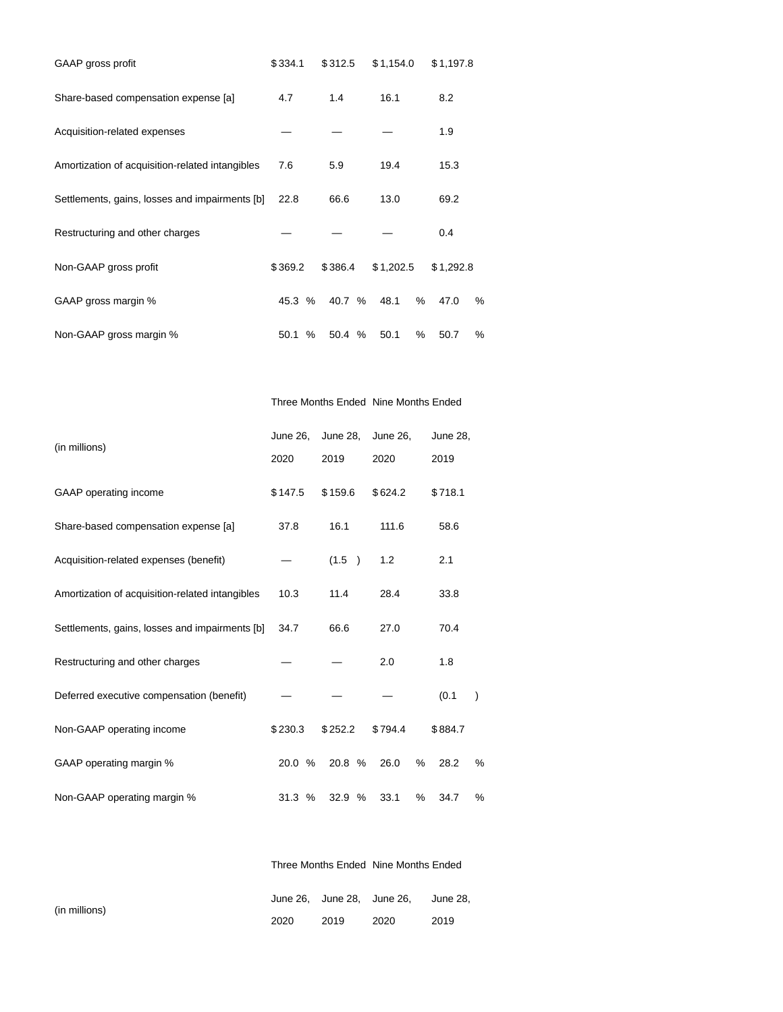| GAAP gross profit                               | \$334.1 | \$312.5 | \$1,154.0 | \$1,197.8      |
|-------------------------------------------------|---------|---------|-----------|----------------|
| Share-based compensation expense [a]            | 4.7     | 1.4     | 16.1      |                |
| Acquisition-related expenses                    |         |         |           | 1.9            |
| Amortization of acquisition-related intangibles | 7.6     | 5.9     | 19.4      | 15.3           |
| Settlements, gains, losses and impairments [b]  | 22.8    | 66.6    | 13.0      | 69.2           |
| Restructuring and other charges                 |         |         |           | 0.4            |
| Non-GAAP gross profit                           | \$369.2 | \$386.4 | \$1,202.5 | \$1,292.8      |
| GAAP gross margin %                             | 45.3 %  | 40.7 %  | 48.1      | %<br>47.0<br>% |
| Non-GAAP gross margin %                         | 50.1 %  | 50.4 %  | 50.1      | %<br>50.7<br>% |

Three Months Ended Nine Months Ended

|                                                 | June 26, | June 28,     | June 26, | June 28,  |   |  |
|-------------------------------------------------|----------|--------------|----------|-----------|---|--|
| (in millions)                                   | 2020     | 2019<br>2020 |          | 2019      |   |  |
| GAAP operating income                           | \$147.5  | \$159.6      | \$624.2  | \$718.1   |   |  |
| Share-based compensation expense [a]            | 37.8     | 16.1         | 111.6    | 58.6      |   |  |
| Acquisition-related expenses (benefit)          |          | (1.5)        | 1.2      | 2.1       |   |  |
| Amortization of acquisition-related intangibles | 10.3     | 11.4         | 28.4     | 33.8      |   |  |
| Settlements, gains, losses and impairments [b]  | 34.7     | 66.6         | 27.0     | 70.4      |   |  |
| Restructuring and other charges                 |          |              | 2.0      | 1.8       |   |  |
| Deferred executive compensation (benefit)       |          |              |          | (0.1)     |   |  |
| Non-GAAP operating income                       | \$230.3  | \$252.2      | \$794.4  | \$884.7   |   |  |
| GAAP operating margin %                         | 20.0 %   | 20.8 %       | 26.0     | %<br>28.2 | % |  |
| Non-GAAP operating margin %                     | 31.3%    | 32.9%        | 33.1     | %<br>34.7 | % |  |

Three Months Ended Nine Months Ended

|               |      |      | June 26, June 28, June 26, June 28, |      |
|---------------|------|------|-------------------------------------|------|
| (in millions) | 2020 | 2019 | 2020                                | 2019 |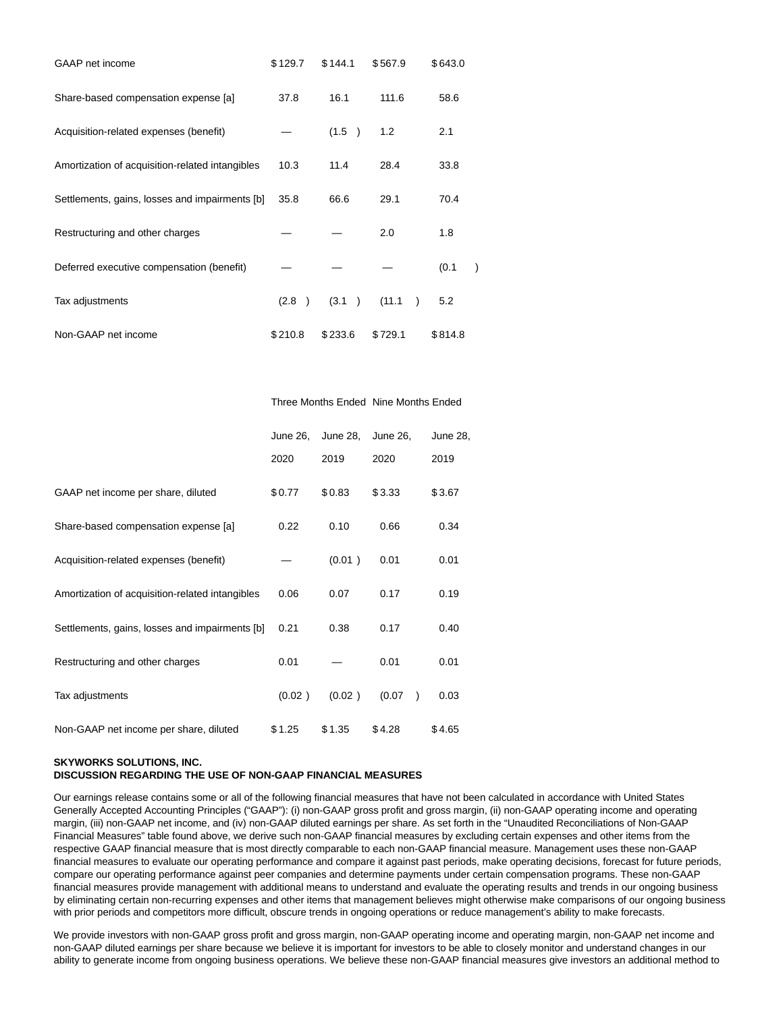| GAAP net income                                 | \$129.7 | \$144.1 | \$567.9             | \$643.0 |
|-------------------------------------------------|---------|---------|---------------------|---------|
| Share-based compensation expense [a]            | 37.8    | 16.1    | 111.6               | 58.6    |
| Acquisition-related expenses (benefit)          |         | (1.5)   | 1.2                 | 2.1     |
| Amortization of acquisition-related intangibles | 10.3    | 11.4    | 28.4                | 33.8    |
| Settlements, gains, losses and impairments [b]  | 35.8    | 66.6    | 29.1                | 70.4    |
| Restructuring and other charges                 |         |         | 2.0                 | 1.8     |
| Deferred executive compensation (benefit)       |         |         |                     | (0.1)   |
| Tax adjustments                                 | (2.8)   | (3.1)   | (11.1)<br>$\lambda$ | 5.2     |
| Non-GAAP net income                             | \$210.8 | \$233.6 | \$729.1             | \$814.8 |

## Three Months Ended Nine Months Ended

|                                                 | June 26, | June 28, | June 26, | June 28,          |
|-------------------------------------------------|----------|----------|----------|-------------------|
|                                                 | 2020     | 2019     | 2020     | 2019              |
| GAAP net income per share, diluted              | \$0.77   | \$0.83   | \$3.33   | \$3.67            |
| Share-based compensation expense [a]            | 0.22     | 0.10     | 0.66     | 0.34              |
| Acquisition-related expenses (benefit)          |          | (0.01)   | 0.01     | 0.01              |
| Amortization of acquisition-related intangibles | 0.06     | 0.07     | 0.17     | 0.19              |
| Settlements, gains, losses and impairments [b]  | 0.21     | 0.38     | 0.17     | 0.40              |
| Restructuring and other charges                 | 0.01     |          | 0.01     | 0.01              |
| Tax adjustments                                 | (0.02)   | (0.02)   | (0.07)   | 0.03<br>$\lambda$ |
| Non-GAAP net income per share, diluted          | \$1.25   | \$1.35   | \$4.28   | \$4.65            |

### **SKYWORKS SOLUTIONS, INC.**

# **DISCUSSION REGARDING THE USE OF NON-GAAP FINANCIAL MEASURES**

Our earnings release contains some or all of the following financial measures that have not been calculated in accordance with United States Generally Accepted Accounting Principles ("GAAP"): (i) non-GAAP gross profit and gross margin, (ii) non-GAAP operating income and operating margin, (iii) non-GAAP net income, and (iv) non-GAAP diluted earnings per share. As set forth in the "Unaudited Reconciliations of Non-GAAP Financial Measures" table found above, we derive such non-GAAP financial measures by excluding certain expenses and other items from the respective GAAP financial measure that is most directly comparable to each non-GAAP financial measure. Management uses these non-GAAP financial measures to evaluate our operating performance and compare it against past periods, make operating decisions, forecast for future periods, compare our operating performance against peer companies and determine payments under certain compensation programs. These non-GAAP financial measures provide management with additional means to understand and evaluate the operating results and trends in our ongoing business by eliminating certain non-recurring expenses and other items that management believes might otherwise make comparisons of our ongoing business with prior periods and competitors more difficult, obscure trends in ongoing operations or reduce management's ability to make forecasts.

We provide investors with non-GAAP gross profit and gross margin, non-GAAP operating income and operating margin, non-GAAP net income and non-GAAP diluted earnings per share because we believe it is important for investors to be able to closely monitor and understand changes in our ability to generate income from ongoing business operations. We believe these non-GAAP financial measures give investors an additional method to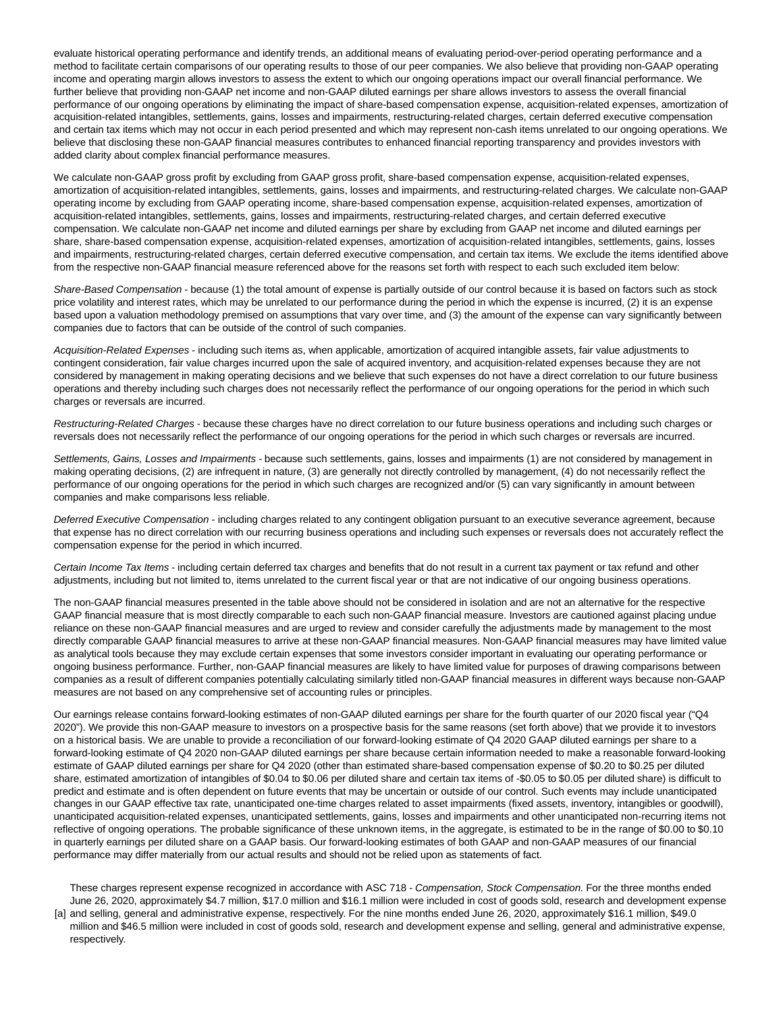evaluate historical operating performance and identify trends, an additional means of evaluating period-over-period operating performance and a method to facilitate certain comparisons of our operating results to those of our peer companies. We also believe that providing non-GAAP operating income and operating margin allows investors to assess the extent to which our ongoing operations impact our overall financial performance. We further believe that providing non-GAAP net income and non-GAAP diluted earnings per share allows investors to assess the overall financial performance of our ongoing operations by eliminating the impact of share-based compensation expense, acquisition-related expenses, amortization of acquisition-related intangibles, settlements, gains, losses and impairments, restructuring-related charges, certain deferred executive compensation and certain tax items which may not occur in each period presented and which may represent non-cash items unrelated to our ongoing operations. We believe that disclosing these non-GAAP financial measures contributes to enhanced financial reporting transparency and provides investors with added clarity about complex financial performance measures.

We calculate non-GAAP gross profit by excluding from GAAP gross profit, share-based compensation expense, acquisition-related expenses, amortization of acquisition-related intangibles, settlements, gains, losses and impairments, and restructuring-related charges. We calculate non-GAAP operating income by excluding from GAAP operating income, share-based compensation expense, acquisition-related expenses, amortization of acquisition-related intangibles, settlements, gains, losses and impairments, restructuring-related charges, and certain deferred executive compensation. We calculate non-GAAP net income and diluted earnings per share by excluding from GAAP net income and diluted earnings per share, share-based compensation expense, acquisition-related expenses, amortization of acquisition-related intangibles, settlements, gains, losses and impairments, restructuring-related charges, certain deferred executive compensation, and certain tax items. We exclude the items identified above from the respective non-GAAP financial measure referenced above for the reasons set forth with respect to each such excluded item below:

Share-Based Compensation - because (1) the total amount of expense is partially outside of our control because it is based on factors such as stock price volatility and interest rates, which may be unrelated to our performance during the period in which the expense is incurred, (2) it is an expense based upon a valuation methodology premised on assumptions that vary over time, and (3) the amount of the expense can vary significantly between companies due to factors that can be outside of the control of such companies.

Acquisition-Related Expenses - including such items as, when applicable, amortization of acquired intangible assets, fair value adjustments to contingent consideration, fair value charges incurred upon the sale of acquired inventory, and acquisition-related expenses because they are not considered by management in making operating decisions and we believe that such expenses do not have a direct correlation to our future business operations and thereby including such charges does not necessarily reflect the performance of our ongoing operations for the period in which such charges or reversals are incurred.

Restructuring-Related Charges - because these charges have no direct correlation to our future business operations and including such charges or reversals does not necessarily reflect the performance of our ongoing operations for the period in which such charges or reversals are incurred.

Settlements, Gains, Losses and Impairments - because such settlements, gains, losses and impairments (1) are not considered by management in making operating decisions, (2) are infrequent in nature, (3) are generally not directly controlled by management, (4) do not necessarily reflect the performance of our ongoing operations for the period in which such charges are recognized and/or (5) can vary significantly in amount between companies and make comparisons less reliable.

Deferred Executive Compensation - including charges related to any contingent obligation pursuant to an executive severance agreement, because that expense has no direct correlation with our recurring business operations and including such expenses or reversals does not accurately reflect the compensation expense for the period in which incurred.

Certain Income Tax Items - including certain deferred tax charges and benefits that do not result in a current tax payment or tax refund and other adjustments, including but not limited to, items unrelated to the current fiscal year or that are not indicative of our ongoing business operations.

The non-GAAP financial measures presented in the table above should not be considered in isolation and are not an alternative for the respective GAAP financial measure that is most directly comparable to each such non-GAAP financial measure. Investors are cautioned against placing undue reliance on these non-GAAP financial measures and are urged to review and consider carefully the adjustments made by management to the most directly comparable GAAP financial measures to arrive at these non-GAAP financial measures. Non-GAAP financial measures may have limited value as analytical tools because they may exclude certain expenses that some investors consider important in evaluating our operating performance or ongoing business performance. Further, non-GAAP financial measures are likely to have limited value for purposes of drawing comparisons between companies as a result of different companies potentially calculating similarly titled non-GAAP financial measures in different ways because non-GAAP measures are not based on any comprehensive set of accounting rules or principles.

Our earnings release contains forward-looking estimates of non-GAAP diluted earnings per share for the fourth quarter of our 2020 fiscal year ("Q4 2020"). We provide this non-GAAP measure to investors on a prospective basis for the same reasons (set forth above) that we provide it to investors on a historical basis. We are unable to provide a reconciliation of our forward-looking estimate of Q4 2020 GAAP diluted earnings per share to a forward-looking estimate of Q4 2020 non-GAAP diluted earnings per share because certain information needed to make a reasonable forward-looking estimate of GAAP diluted earnings per share for Q4 2020 (other than estimated share-based compensation expense of \$0.20 to \$0.25 per diluted share, estimated amortization of intangibles of \$0.04 to \$0.06 per diluted share and certain tax items of -\$0.05 to \$0.05 per diluted share) is difficult to predict and estimate and is often dependent on future events that may be uncertain or outside of our control. Such events may include unanticipated changes in our GAAP effective tax rate, unanticipated one-time charges related to asset impairments (fixed assets, inventory, intangibles or goodwill), unanticipated acquisition-related expenses, unanticipated settlements, gains, losses and impairments and other unanticipated non-recurring items not reflective of ongoing operations. The probable significance of these unknown items, in the aggregate, is estimated to be in the range of \$0.00 to \$0.10 in quarterly earnings per diluted share on a GAAP basis. Our forward-looking estimates of both GAAP and non-GAAP measures of our financial performance may differ materially from our actual results and should not be relied upon as statements of fact.

[a] and selling, general and administrative expense, respectively. For the nine months ended June 26, 2020, approximately \$16.1 million, \$49.0 These charges represent expense recognized in accordance with ASC 718 - Compensation, Stock Compensation. For the three months ended June 26, 2020, approximately \$4.7 million, \$17.0 million and \$16.1 million were included in cost of goods sold, research and development expense million and \$46.5 million were included in cost of goods sold, research and development expense and selling, general and administrative expense, respectively.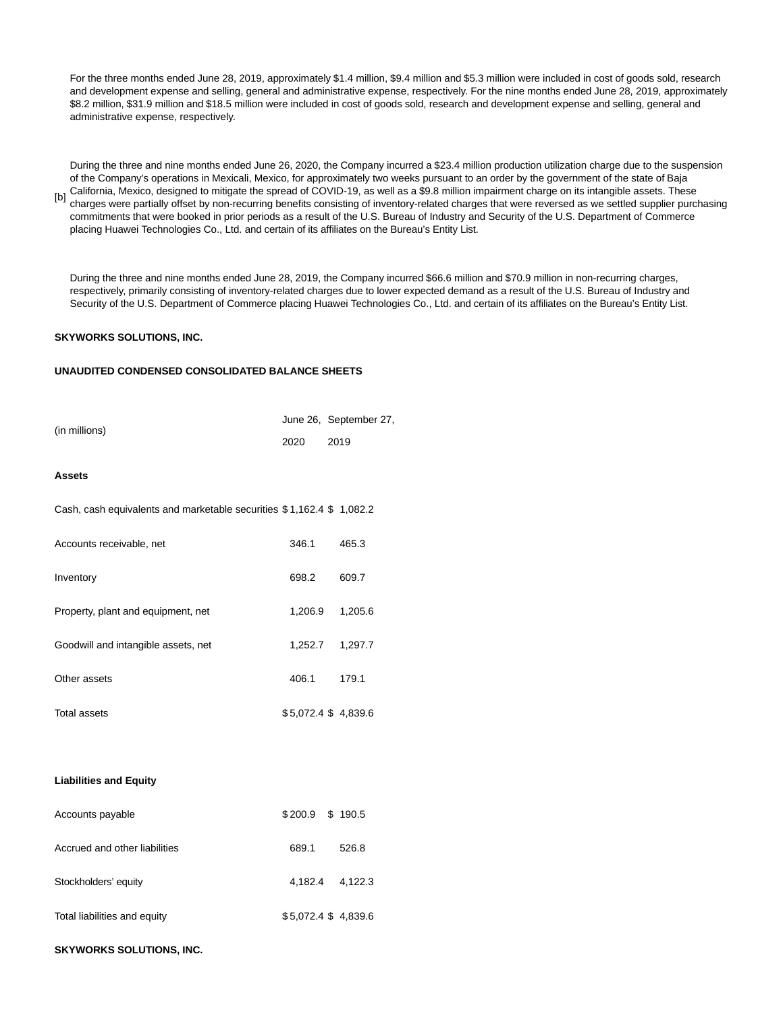For the three months ended June 28, 2019, approximately \$1.4 million, \$9.4 million and \$5.3 million were included in cost of goods sold, research and development expense and selling, general and administrative expense, respectively. For the nine months ended June 28, 2019, approximately \$8.2 million, \$31.9 million and \$18.5 million were included in cost of goods sold, research and development expense and selling, general and administrative expense, respectively.

[b] charges were partially offset by non-recurring benefits consisting of inventory-related charges that were reversed as we settled supplier purchasing During the three and nine months ended June 26, 2020, the Company incurred a \$23.4 million production utilization charge due to the suspension of the Company's operations in Mexicali, Mexico, for approximately two weeks pursuant to an order by the government of the state of Baja California, Mexico, designed to mitigate the spread of COVID-19, as well as a \$9.8 million impairment charge on its intangible assets. These commitments that were booked in prior periods as a result of the U.S. Bureau of Industry and Security of the U.S. Department of Commerce

During the three and nine months ended June 28, 2019, the Company incurred \$66.6 million and \$70.9 million in non-recurring charges, respectively, primarily consisting of inventory-related charges due to lower expected demand as a result of the U.S. Bureau of Industry and Security of the U.S. Department of Commerce placing Huawei Technologies Co., Ltd. and certain of its affiliates on the Bureau's Entity List.

# **SKYWORKS SOLUTIONS, INC.**

# **UNAUDITED CONDENSED CONSOLIDATED BALANCE SHEETS**

placing Huawei Technologies Co., Ltd. and certain of its affiliates on the Bureau's Entity List.

| (in millions)                                                        |         | June 26, September 27, |  |
|----------------------------------------------------------------------|---------|------------------------|--|
|                                                                      | 2020    | 2019                   |  |
| <b>Assets</b>                                                        |         |                        |  |
| Cash, cash equivalents and marketable securities \$1,162.4 \$1,082.2 |         |                        |  |
| Accounts receivable, net                                             | 346.1   | 465.3                  |  |
| Inventory                                                            | 698.2   | 609.7                  |  |
| Property, plant and equipment, net                                   | 1,206.9 | 1,205.6                |  |
| Goodwill and intangible assets, net                                  | 1,252.7 | 1,297.7                |  |
| Other assets                                                         | 406.1   | 179.1                  |  |
| <b>Total assets</b>                                                  |         | \$5,072.4 \$4,839.6    |  |
|                                                                      |         |                        |  |
|                                                                      |         |                        |  |
| <b>Liabilities and Equity</b>                                        |         |                        |  |

| Accounts payable              | $$200.9$ \$ 190.5   |         |
|-------------------------------|---------------------|---------|
| Accrued and other liabilities | 689.1               | 526.8   |
| Stockholders' equity          | 4.182.4             | 4.122.3 |
| Total liabilities and equity  | \$5,072.4 \$4,839.6 |         |

## **SKYWORKS SOLUTIONS, INC.**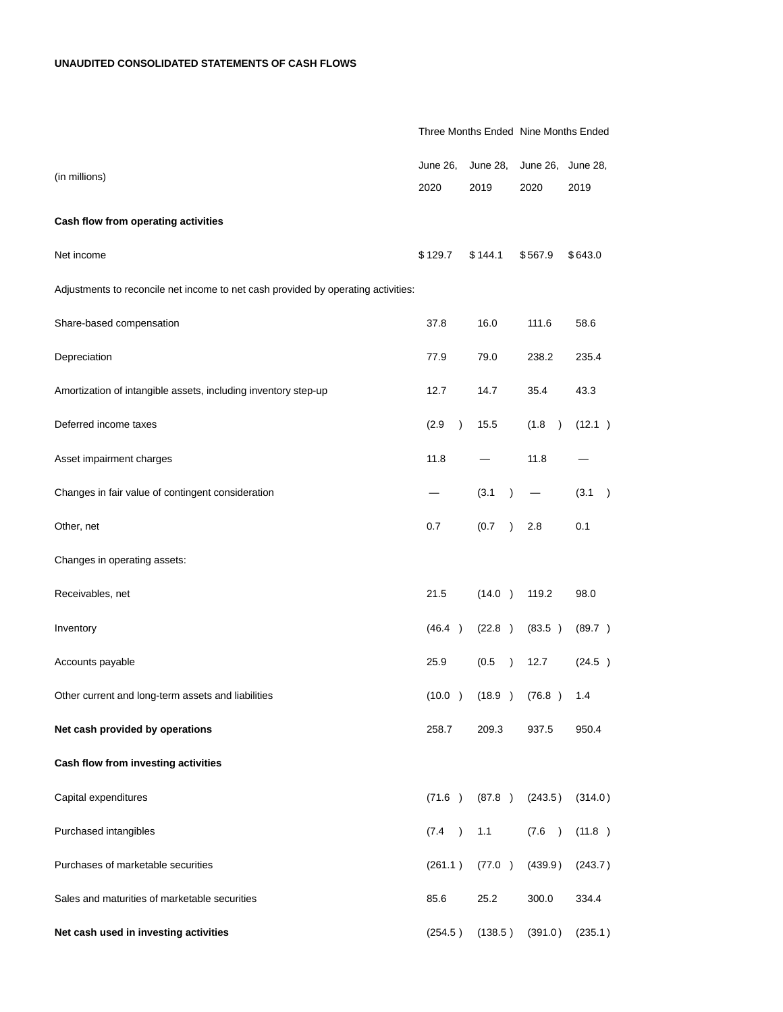|                                                                                   | Three Months Ended Nine Months Ended |                         |                            |                         |
|-----------------------------------------------------------------------------------|--------------------------------------|-------------------------|----------------------------|-------------------------|
| (in millions)                                                                     | <b>June 26,</b><br>2020              | <b>June 28,</b><br>2019 | June 26,<br>2020           | <b>June 28,</b><br>2019 |
|                                                                                   |                                      |                         |                            |                         |
| Cash flow from operating activities                                               |                                      |                         |                            |                         |
| Net income                                                                        | \$129.7                              | \$144.1                 | \$567.9                    | \$643.0                 |
| Adjustments to reconcile net income to net cash provided by operating activities: |                                      |                         |                            |                         |
| Share-based compensation                                                          | 37.8                                 | 16.0                    | 111.6                      | 58.6                    |
| Depreciation                                                                      | 77.9                                 | 79.0                    | 238.2                      | 235.4                   |
| Amortization of intangible assets, including inventory step-up                    | 12.7                                 | 14.7                    | 35.4                       | 43.3                    |
| Deferred income taxes                                                             | (2.9)<br>$\lambda$                   | 15.5                    | (1.8)<br>$\lambda$         | (12.1)                  |
| Asset impairment charges                                                          | 11.8                                 |                         | 11.8                       |                         |
| Changes in fair value of contingent consideration                                 |                                      | (3.1)<br>$\lambda$      |                            | (3.1)<br>$\rightarrow$  |
| Other, net                                                                        | 0.7                                  | (0.7)<br>$\lambda$      | 2.8                        | 0.1                     |
| Changes in operating assets:                                                      |                                      |                         |                            |                         |
| Receivables, net                                                                  | 21.5                                 | (14.0)                  | 119.2                      | 98.0                    |
| Inventory                                                                         | (46.4)                               | (22.8)                  | (83.5)                     | (89.7)                  |
| Accounts payable                                                                  | 25.9                                 | (0.5)<br>$\lambda$      | 12.7                       | (24.5)                  |
| Other current and long-term assets and liabilities                                |                                      |                         | $(10.0)$ $(18.9)$ $(76.8)$ | 1.4                     |
| Net cash provided by operations                                                   | 258.7                                | 209.3                   | 937.5                      | 950.4                   |
| Cash flow from investing activities                                               |                                      |                         |                            |                         |
| Capital expenditures                                                              | (71.6)                               | (87.8)                  | (243.5)                    | (314.0)                 |
| Purchased intangibles                                                             | (7.4)                                | 1.1                     | (7.6)                      | (11.8)                  |
| Purchases of marketable securities                                                | (261.1)                              | (77.0)                  | (439.9)                    | (243.7)                 |
| Sales and maturities of marketable securities                                     | 85.6                                 | 25.2                    | 300.0                      | 334.4                   |
| Net cash used in investing activities                                             | (254.5)                              | (138.5)                 | (391.0)                    | (235.1)                 |